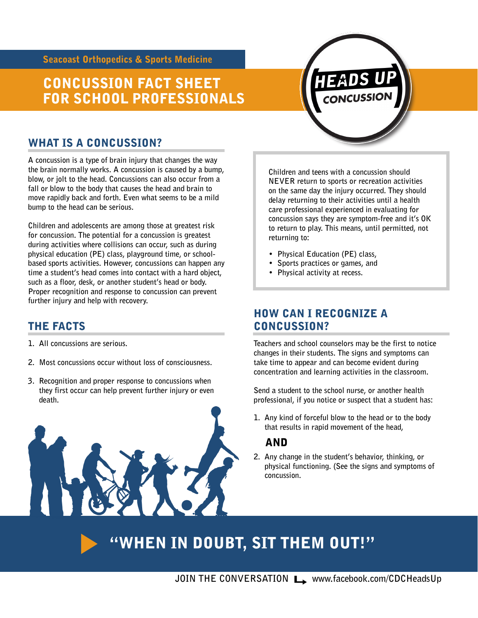Seacoast Orthopedics & Sports Medicine

# CONCUSSION FACT SHEET FOR SCHOOL PROFESSIONALS

# WHAT IS A CONCUSSION?

**A concussion is a type of brain injury that changes the way the brain normally works. A concussion is caused by a bump, blow, or jolt to the head. Concussions can also occur from a fall or blow to the body that causes the head and brain to move rapidly back and forth. Even what seems to be a mild bump to the head can be serious.** 

**Children and adolescents are among those at greatest risk for concussion. The potential for a concussion is greatest during activities where collisions can occur, such as during physical education (PE) class, playground time, or schoolbased sports activities. However, concussions can happen any time a student's head comes into contact with a hard object, such as a floor, desk, or another student's head or body. Proper recognition and response to concussion can prevent further injury and help with recovery.** 

## THE FACTS

- **1. All concussions are serious.**
- **2. Most concussions occur without loss of consciousness.**
- **3. Recognition and proper response to concussions when they first occur can help prevent further injury or even death.**



**Children and teens with a concussion should NEVER return to sports or recreation activities on the same day the injury occurred. They should delay returning to their activities until a health care professional experienced in evaluating for concussion says they are symptom-free and it's OK to return to play. This means, until permitted, not returning to:** 

- **Physical Education (PE) class,**
- **Sports practices or games, and**
- **Physical activity at recess.**

## HOW CAN I RECOGNIZE A CONCUSSION?

**Teachers and school counselors may be the first to notice changes in their students. The signs and symptoms can take time to appear and can become evident during concentration and learning activities in the classroom.** 

**Send a student to the school nurse, or another health professional, if you notice or suspect that a student has:** 

**1. Any kind of forceful blow to the head or to the body that results in rapid movement of the head,** 

## AND

**2. Any change in the student's behavior, thinking, or physical functioning. (See the signs and symptoms of concussion.** 

# "WHEN IN DOUBT, SIT THEM OUT!"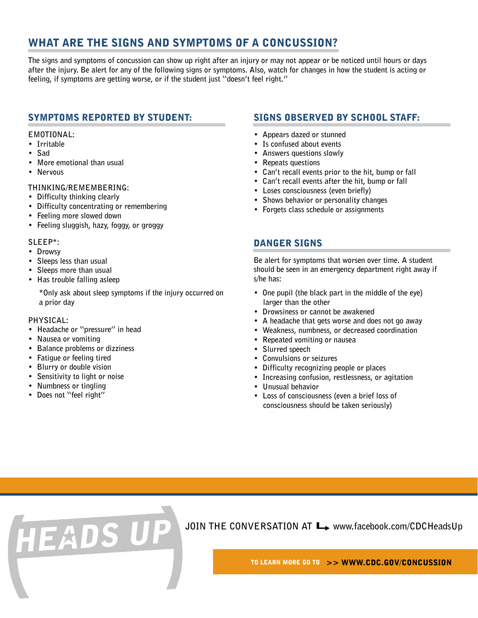# WHAT ARE THE SIGNS AND SYMPTOMS OF A CONCUSSION?

**The signs and symptoms of concussion can show up right after an injury or may not appear or be noticed until hours or days after the injury. Be alert for any of the following signs or symptoms. Also, watch for changes in how the student is acting or feeling, if symptoms are getting worse, or if the student just "doesn't feel right."** 

## SYMPTOMS REPORTED BY STUDENT:

#### **EMOTIONAL:**

- **Irritable**
- **Sad**
- **More emotional than usual**
- **Nervous**

#### **THINKING/REMEMBERING:**

- **Difficulty thinking clearly**
- **Difficulty concentrating or remembering**
- **Feeling more slowed down**
- **Feeling sluggish, hazy, foggy, or groggy**

#### **SLEEP\*:**

- **Drowsy**
- **Sleeps less than usual**
- **Sleeps more than usual**
- **Has trouble falling asleep**

**\*Only ask about sleep symptoms if the injury occurred on a prior day** 

#### **PHYSICAL:**

- **Headache or "pressure" in head**
- **Nausea or vomiting**
- **Balance problems or dizziness**

HEADS UI

- **Fatigue or feeling tired**
- **Blurry or double vision**
- **Sensitivity to light or noise**
- **Numbness or tingling**
- **Does not "feel right"**

## SIGNS OBSERVED BY SCHOOL STAFF:

- **Appears dazed or stunned**
- **Is confused about events**
- **Answers questions slowly**
- **Repeats questions**
- **Can't recall events prior to the hit, bump or fall**
- **Can't recall events after the hit, bump or fall**
- **Loses consciousness (even briefly)**
- **Shows behavior or personality changes**
- **Forgets class schedule or assignments**

#### DANGER SIGNS

**Be alert for symptoms that worsen over time. A student should be seen in an emergency department right away if s/he has:** 

- **One pupil (the black part in the middle of the eye) larger than the other**
- **Drowsiness or cannot be awakened**
- **A headache that gets worse and does not go away**
- **Weakness, numbness, or decreased coordination**
- **Repeated vomiting or nausea**
- **Slurred speech**
- **Convulsions or seizures**
- **Difficulty recognizing people or places**
- **Increasing confusion, restlessness, or agitation**
- **Unusual behavior**
- **Loss of consciousness (even a brief loss of consciousness should be taken seriously)**

JOIN THE CONVERSATION AT  $\rightarrow$  www.facebook.com/CDCHeadsUp

TO LEARN MORE GO TO >> WWW.CDC.GOV/CONCUSSION